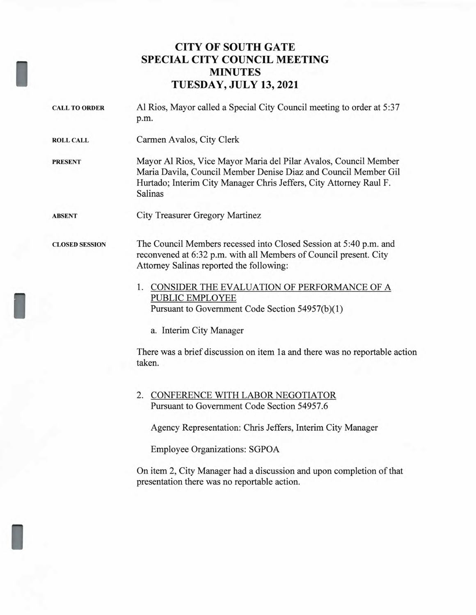## **CITY OF SOUTH GATE SPECIAL CITY COUNCIL MEETING MINUTES TUESDAY, JULY 13, 2021**

| <b>CALL TO ORDER</b>  | Al Rios, Mayor called a Special City Council meeting to order at 5:37<br>p.m.                                                                                                                                        |
|-----------------------|----------------------------------------------------------------------------------------------------------------------------------------------------------------------------------------------------------------------|
| <b>ROLL CALL</b>      | Carmen Avalos, City Clerk                                                                                                                                                                                            |
| <b>PRESENT</b>        | Mayor Al Rios, Vice Mayor Maria del Pilar Avalos, Council Member<br>Maria Davila, Council Member Denise Diaz and Council Member Gil<br>Hurtado; Interim City Manager Chris Jeffers, City Attorney Raul F.<br>Salinas |
| <b>ABSENT</b>         | <b>City Treasurer Gregory Martinez</b>                                                                                                                                                                               |
| <b>CLOSED SESSION</b> | The Council Members recessed into Closed Session at 5:40 p.m. and<br>reconvened at 6:32 p.m. with all Members of Council present. City<br>Attorney Salinas reported the following:                                   |
|                       | 1. CONSIDER THE EVALUATION OF PERFORMANCE OF A<br><b>PUBLIC EMPLOYEE</b><br>Pursuant to Government Code Section 54957(b)(1)                                                                                          |
|                       | a. Interim City Manager                                                                                                                                                                                              |
|                       | There was a brief discussion on item 1a and there was no reportable action<br>taken.                                                                                                                                 |
|                       | 2. CONFERENCE WITH LABOR NEGOTIATOR<br>Pursuant to Government Code Section 54957.6                                                                                                                                   |
|                       | Agency Representation: Chris Jeffers, Interim City Manager                                                                                                                                                           |
|                       | <b>Employee Organizations: SGPOA</b>                                                                                                                                                                                 |
|                       | On item ? City Manager had a discussion and upon completion of that                                                                                                                                                  |

I

I

On item 2, City Manager had a discussion and upon completion of that presentation there was no reportable action.